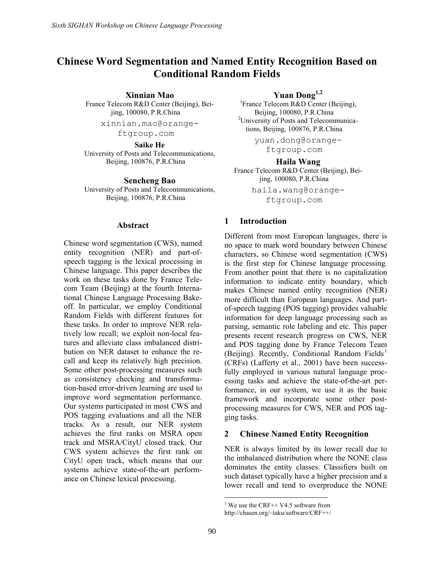# Chinese Word Segmentation and Named Entity Recognition Based on Conditional Random Fields

Xinnian Mao

France Telecom R&D Center (Beijing), Beijing, 100080, P.R.China

xinnian.mao@orange-

ftgroup.com

Saike He University of Posts and Telecommunications, Beijing, 100876, P.R.China

Sencheng Bao

University of Posts and Telecommunications, Beijing, 100876, P.R.China

#### Abstract

Chinese word segmentation (CWS), named entity recognition (NER) and part-ofspeech tagging is the lexical processing in Chinese language. This paper describes the work on these tasks done by France Telecom Team (Beijing) at the fourth International Chinese Language Processing Bakeoff. In particular, we employ Conditional Random Fields with different features for these tasks. In order to improve NER relatively low recall; we exploit non-local features and alleviate class imbalanced distribution on NER dataset to enhance the recall and keep its relatively high precision. Some other post-processing measures such as consistency checking and transformation-based error-driven learning are used to improve word segmentation performance. Our systems participated in most CWS and POS tagging evaluations and all the NER tracks. As a result, our NER system achieves the first ranks on MSRA open track and MSRA/CityU closed track. Our CWS system achieves the first rank on CityU open track, which means that our systems achieve state-of-the-art performance on Chinese lexical processing.

Yuan Dong<sup>1,2</sup>

<sup>1</sup> France Telecom R&D Center (Beijing), Beijing, 100080, P.R.China <sup>2</sup>University of Posts and Telecommunications, Beijing, 100876, P.R.China

yuan.dong@orange-

ftgroup.com

Haila Wang France Telecom R&D Center (Beijing), Beijing, 100080, P.R.China

> haila.wang@orangeftgroup.com

## 1 Introduction

Different from most European languages, there is no space to mark word boundary between Chinese characters, so Chinese word segmentation (CWS) is the first step for Chinese language processing. From another point that there is no capitalization information to indicate entity boundary, which makes Chinese named entity recognition (NER) more difficult than European languages. And partof-speech tagging (POS tagging) provides valuable information for deep language processing such as parsing, semantic role labeling and etc. This paper presents recent research progress on CWS, NER and POS tagging done by France Telecom Team (Beijing). Recently, Conditional Random Fields<sup>1</sup> (CRFs) (Lafferty et al., 2001) have been successfully employed in various natural language processing tasks and achieve the state-of-the-art performance, in our system, we use it as the basic framework and incorporate some other postprocessing measures for CWS, NER and POS tagging tasks.

## 2 Chinese Named Entity Recognition

NER is always limited by its lower recall due to the imbalanced distribution where the NONE class dominates the entity classes. Classifiers built on such dataset typically have a higher precision and a lower recall and tend to overproduce the NONE

 $\overline{a}$ <sup>1</sup> We use the CRF<sup>++</sup> V4.5 software from

http://chasen.org/~taku/software/CRF++/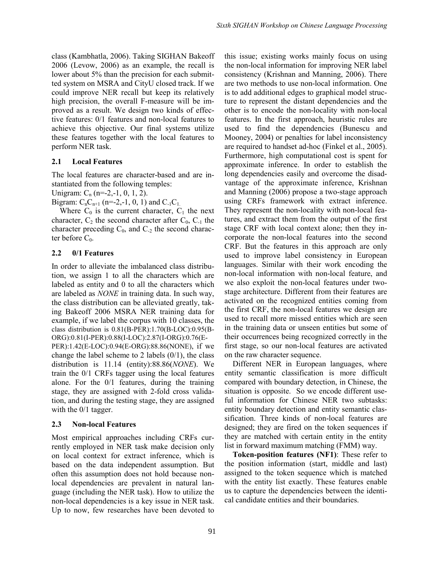class (Kambhatla, 2006). Taking SIGHAN Bakeoff 2006 (Levow, 2006) as an example, the recall is lower about 5% than the precision for each submitted system on MSRA and CityU closed track. If we could improve NER recall but keep its relatively high precision, the overall F-measure will be improved as a result. We design two kinds of effective features: 0/1 features and non-local features to achieve this objective. Our final systems utilize these features together with the local features to perform NER task.

## 2.1 Local Features

The local features are character-based and are instantiated from the following temples:

Unigram:  $C_n$  (n=-2,-1, 0, 1, 2).

Bigram:  $C_nC_{n+1}$  (n=-2,-1, 0, 1) and  $C_{-1}C_{1}$ .

Where  $C_0$  is the current character,  $C_1$  the next character,  $C_2$  the second character after  $C_0$ ,  $C_{-1}$  the character preceding  $C_0$ , and  $C_{-2}$  the second character before  $C_0$ .

#### 2.2 0/1 Features

In order to alleviate the imbalanced class distribution, we assign 1 to all the characters which are labeled as entity and 0 to all the characters which are labeled as NONE in training data. In such way, the class distribution can be alleviated greatly, taking Bakeoff 2006 MSRA NER training data for example, if we label the corpus with 10 classes, the class distribution is 0.81(B-PER):1.70(B-LOC):0.95(B-ORG):0.81(I-PER):0.88(I-LOC):2.87(I-ORG):0.76(E-PER):1.42(E-LOC):0.94(E-ORG):88.86(NONE), if we change the label scheme to 2 labels  $(0/1)$ , the class distribution is 11.14 (entity):88.86(NONE). We train the 0/1 CRFs tagger using the local features alone. For the 0/1 features, during the training stage, they are assigned with 2-fold cross validation, and during the testing stage, they are assigned with the  $0/1$  tagger.

## 2.3 Non-local Features

Most empirical approaches including CRFs currently employed in NER task make decision only on local context for extract inference, which is based on the data independent assumption. But often this assumption does not hold because nonlocal dependencies are prevalent in natural language (including the NER task). How to utilize the non-local dependencies is a key issue in NER task. Up to now, few researches have been devoted to

this issue; existing works mainly focus on using the non-local information for improving NER label consistency (Krishnan and Manning, 2006). There are two methods to use non-local information. One is to add additional edges to graphical model structure to represent the distant dependencies and the other is to encode the non-locality with non-local features. In the first approach, heuristic rules are used to find the dependencies (Bunescu and Mooney, 2004) or penalties for label inconsistency are required to handset ad-hoc (Finkel et al., 2005). Furthermore, high computational cost is spent for approximate inference. In order to establish the long dependencies easily and overcome the disadvantage of the approximate inference, Krishnan and Manning (2006) propose a two-stage approach using CRFs framework with extract inference. They represent the non-locality with non-local features, and extract them from the output of the first stage CRF with local context alone; then they incorporate the non-local features into the second CRF. But the features in this approach are only used to improve label consistency in European languages. Similar with their work encoding the non-local information with non-local feature, and we also exploit the non-local features under twostage architecture. Different from their features are activated on the recognized entities coming from the first CRF, the non-local features we design are used to recall more missed entities which are seen in the training data or unseen entities but some of their occurrences being recognized correctly in the first stage, so our non-local features are activated on the raw character sequence.

Different NER in European languages, where entity semantic classification is more difficult compared with boundary detection, in Chinese, the situation is opposite. So we encode different useful information for Chinese NER two subtasks: entity boundary detection and entity semantic classification. Three kinds of non-local features are designed; they are fired on the token sequences if they are matched with certain entity in the entity list in forward maximum matching (FMM) way.

Token-position features (NF1): These refer to the position information (start, middle and last) assigned to the token sequence which is matched with the entity list exactly. These features enable us to capture the dependencies between the identical candidate entities and their boundaries.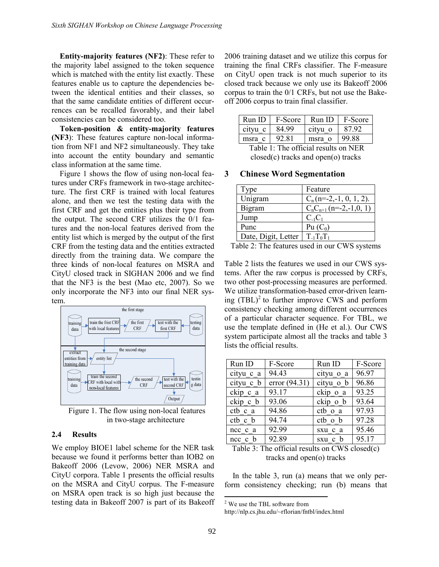Entity-majority features (NF2): These refer to the majority label assigned to the token sequence which is matched with the entity list exactly. These features enable us to capture the dependencies between the identical entities and their classes, so that the same candidate entities of different occurrences can be recalled favorably, and their label consistencies can be considered too.

Token-position & entity-majority features (NF3): These features capture non-local information from NF1 and NF2 simultaneously. They take into account the entity boundary and semantic class information at the same time.

Figure 1 shows the flow of using non-local features under CRFs framework in two-stage architecture. The first CRF is trained with local features alone, and then we test the testing data with the first CRF and get the entities plus their type from the output. The second CRF utilizes the 0/1 features and the non-local features derived from the entity list which is merged by the output of the first CRF from the testing data and the entities extracted directly from the training data. We compare the three kinds of non-local features on MSRA and CityU closed track in SIGHAN 2006 and we find that the NF3 is the best (Mao etc, 2007). So we only incorporate the NF3 into our final NER system.



Figure 1. The flow using non-local features in two-stage architecture

#### 2.4 Results

We employ BIOE1 label scheme for the NER task because we found it performs better than IOB2 on Bakeoff 2006 (Levow, 2006) NER MSRA and CityU corpora. Table 1 presents the official results on the MSRA and CityU corpus. The F-measure on MSRA open track is so high just because the testing data in Bakeoff 2007 is part of its Bakeoff 2006 training dataset and we utilize this corpus for training the final CRFs classifier. The F-measure on CityU open track is not much superior to its closed track because we only use its Bakeoff 2006 corpus to train the 0/1 CRFs, but not use the Bakeoff 2006 corpus to train final classifier.

| RunID                                | F-Score | Run ID  | F-Score |
|--------------------------------------|---------|---------|---------|
| cityu c                              | 84.99   | cityu o | 8792    |
| msra c                               | 92.81   | msra o  | 99.88   |
| Table 1: The official recults on NER |         |         |         |

 Table 1: The official results on NER closed(c) tracks and open(o) tracks

#### 3 Chinese Word Segmentation

| Type                | Feature                     |
|---------------------|-----------------------------|
| Unigram             | $C_n$ (n=-2,-1, 0, 1, 2).   |
| Bigram              | $C_nC_{n+1}$ (n=-2,-1,0, 1) |
| Jump                | $C_{-1}C_1$                 |
| Punc                | Pu $(C_0)$                  |
| Date, Digit, Letter | $T_{-1}T_0T_1$              |

Table 2: The features used in our CWS systems

Table 2 lists the features we used in our CWS systems. After the raw corpus is processed by CRFs, two other post-processing measures are performed. We utilize transformation-based error-driven learning  $(TBL)^2$  to further improve CWS and perform consistency checking among different occurrences of a particular character sequence. For TBL, we use the template defined in (He et al.). Our CWS system participate almost all the tracks and table 3 lists the official results.

| Run ID      | F-Score         | Run ID    | F-Score |
|-------------|-----------------|-----------|---------|
| cityu c a   | 94.43           | cityu o a | 96.97   |
| cityu c b   | error $(94.31)$ | cityu o b | 96.86   |
| ckip c a    | 93.17           | ckip o a  | 93.25   |
| ckip c b    | 93.06           | ckip o b  | 93.64   |
| ctb c a     | 94.86           | ctb o a   | 97.93   |
| ctb c b     | 94.74           | ctb o b   | 97.28   |
| ncc c a     | 92.99           | sxu c a   | 95.46   |
| $ncc$ c $b$ | 92.89           | sxu c b   | 95.17   |

Table 3: The official results on CWS closed(c) tracks and open(o) tracks

In the table 3, run (a) means that we only perform consistency checking; run (b) means that

<sup>&</sup>lt;sup>2</sup> We use the TBL software from

http://nlp.cs.jhu.edu/~rflorian/fntbl/index.html